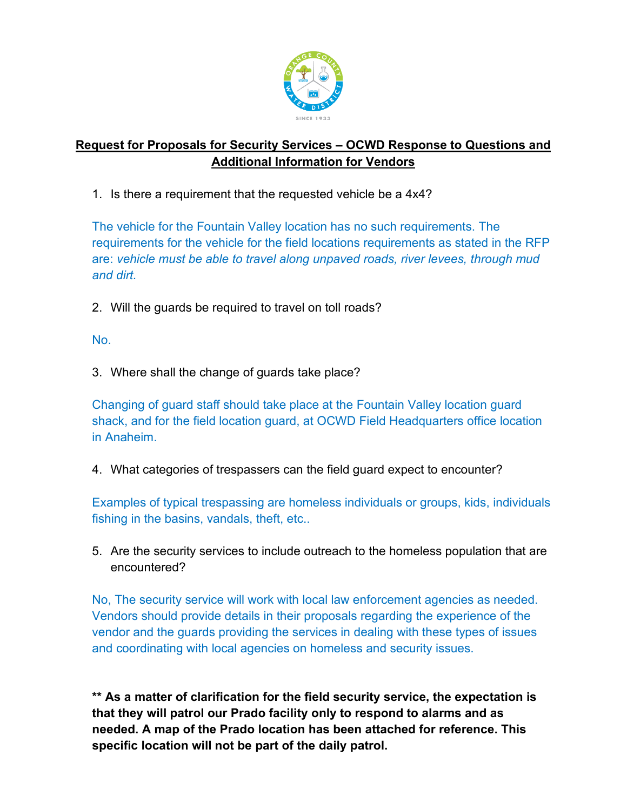

## **Request for Proposals for Security Services – OCWD Response to Questions and Additional Information for Vendors**

1. Is there a requirement that the requested vehicle be a 4x4?

The vehicle for the Fountain Valley location has no such requirements. The requirements for the vehicle for the field locations requirements as stated in the RFP are: *vehicle must be able to travel along unpaved roads, river levees, through mud and dirt.*

2. Will the guards be required to travel on toll roads?

No.

3. Where shall the change of guards take place?

Changing of guard staff should take place at the Fountain Valley location guard shack, and for the field location guard, at OCWD Field Headquarters office location in Anaheim.

4. What categories of trespassers can the field guard expect to encounter?

Examples of typical trespassing are homeless individuals or groups, kids, individuals fishing in the basins, vandals, theft, etc..

5. Are the security services to include outreach to the homeless population that are encountered?

No, The security service will work with local law enforcement agencies as needed. Vendors should provide details in their proposals regarding the experience of the vendor and the guards providing the services in dealing with these types of issues and coordinating with local agencies on homeless and security issues.

**\*\* As a matter of clarification for the field security service, the expectation is that they will patrol our Prado facility only to respond to alarms and as needed. A map of the Prado location has been attached for reference. This specific location will not be part of the daily patrol.**